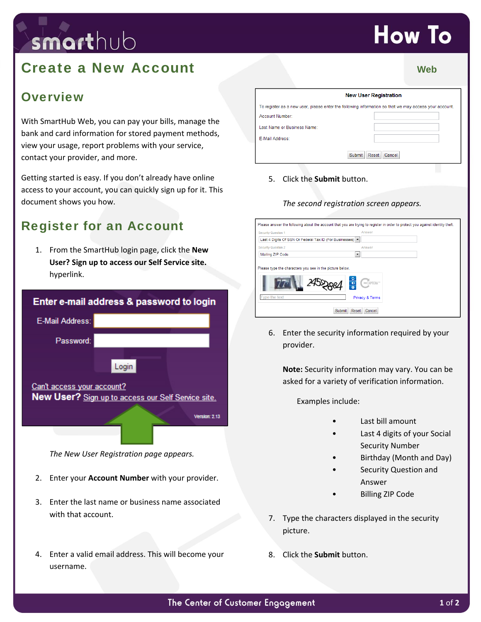# smarthub

## **Create a New Account** Web **Web Web**

### **Overview**

With SmartHub Web, you can pay your bills, manage the bank and card information for stored payment methods, view your usage, report problems with your service, contact your provider, and more.

Getting started is easy. If you don't already have online access to your account, you can quickly sign up for it. This document shows you how.

## Register for an Account

1. From the SmartHub login page, click the **New User? Sign up to access our Self Service site.** hyperlink.

| Enter e-mail address & password to login |                                                                     |
|------------------------------------------|---------------------------------------------------------------------|
| <b>E-Mail Address:</b>                   |                                                                     |
| Password:                                | Login                                                               |
| Can't access your account?               | New User? Sign up to access our Self Service site.<br>Version: 2.13 |

*The New User Registration page appears.*

- 2. Enter your **Account Number** with your provider.
- 3. Enter the last name or business name associated with that account.
- 4. Enter a valid email address. This will become your username.

| <b>New User Registration</b> |                                                                                                       |
|------------------------------|-------------------------------------------------------------------------------------------------------|
|                              | To register as a new user, please enter the following information so that we may access your account. |
| Account Number:              |                                                                                                       |
| Last Name or Business Name:  |                                                                                                       |
| E-Mail Address:              |                                                                                                       |

5. Click the **Submit** button.

#### *The second registration screen appears.*



6. Enter the security information required by your provider.

**Note:** Security information may vary. You can be asked for a variety of verification information.

Examples include:

- Last bill amount
- Last 4 digits of your Social Security Number
- Birthday (Month and Day)
- Security Question and Answer
- Billing ZIP Code
- 7. Type the characters displayed in the security picture.
- 8. Click the **Submit** button.

## **How To**